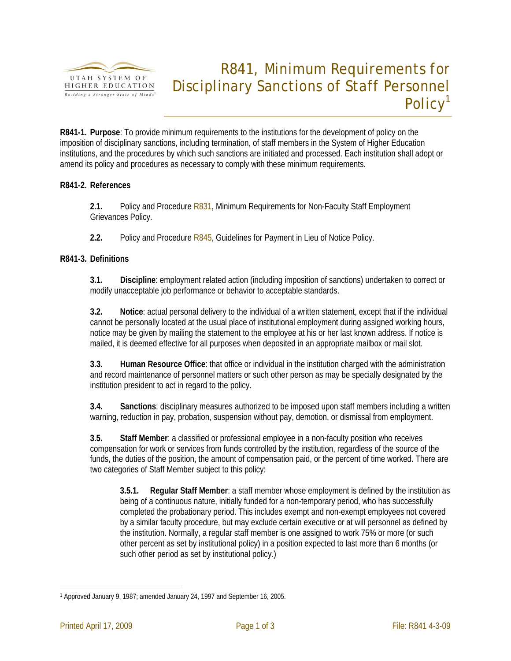

# R841, Minimum Requirements for Disciplinary Sanctions of Staff Personnel Policy<sup>1</sup>

**R841-1. Purpose**: To provide minimum requirements to the institutions for the development of policy on the imposition of disciplinary sanctions, including termination, of staff members in the System of Higher Education institutions, and the procedures by which such sanctions are initiated and processed. Each institution shall adopt or amend its policy and procedures as necessary to comply with these minimum requirements.

# **R841-2. References**

**2.1.** Policy and Procedure R831, Minimum Requirements for Non-Faculty Staff Employment Grievances Policy.

**2.2.** Policy and Procedure R845, Guidelines for Payment in Lieu of Notice Policy.

# **R841-3. Definitions**

**3.1. Discipline**: employment related action (including imposition of sanctions) undertaken to correct or modify unacceptable job performance or behavior to acceptable standards.

**3.2. Notice**: actual personal delivery to the individual of a written statement, except that if the individual cannot be personally located at the usual place of institutional employment during assigned working hours, notice may be given by mailing the statement to the employee at his or her last known address. If notice is mailed, it is deemed effective for all purposes when deposited in an appropriate mailbox or mail slot.

**3.3. Human Resource Office**: that office or individual in the institution charged with the administration and record maintenance of personnel matters or such other person as may be specially designated by the institution president to act in regard to the policy.

**3.4. Sanctions**: disciplinary measures authorized to be imposed upon staff members including a written warning, reduction in pay, probation, suspension without pay, demotion, or dismissal from employment.

**3.5. Staff Member**: a classified or professional employee in a non-faculty position who receives compensation for work or services from funds controlled by the institution, regardless of the source of the funds, the duties of the position, the amount of compensation paid, or the percent of time worked. There are two categories of Staff Member subject to this policy:

**3.5.1. Regular Staff Member**: a staff member whose employment is defined by the institution as being of a continuous nature, initially funded for a non-temporary period, who has successfully completed the probationary period. This includes exempt and non-exempt employees not covered by a similar faculty procedure, but may exclude certain executive or at will personnel as defined by the institution. Normally, a regular staff member is one assigned to work 75% or more (or such other percent as set by institutional policy) in a position expected to last more than 6 months (or such other period as set by institutional policy.)

<sup>&</sup>lt;u>.</u> 1 Approved January 9, 1987; amended January 24, 1997 and September 16, 2005.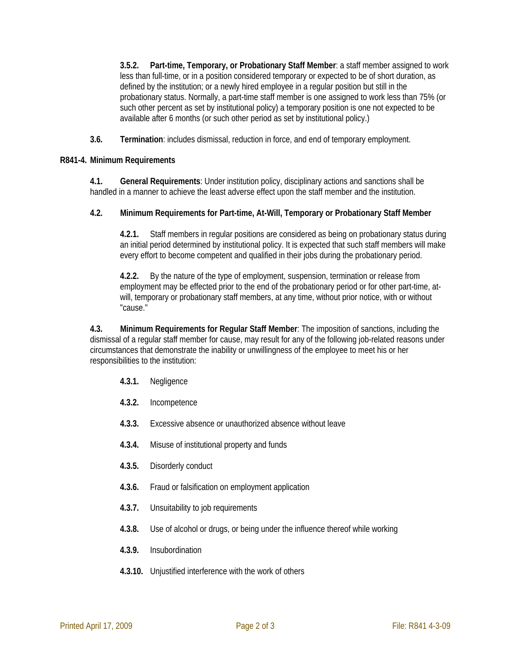**3.5.2. Part-time, Temporary, or Probationary Staff Member**: a staff member assigned to work less than full-time, or in a position considered temporary or expected to be of short duration, as defined by the institution; or a newly hired employee in a regular position but still in the probationary status. Normally, a part-time staff member is one assigned to work less than 75% (or such other percent as set by institutional policy) a temporary position is one not expected to be available after 6 months (or such other period as set by institutional policy.)

**3.6. Termination**: includes dismissal, reduction in force, and end of temporary employment.

### **R841-4. Minimum Requirements**

**4.1. General Requirements**: Under institution policy, disciplinary actions and sanctions shall be handled in a manner to achieve the least adverse effect upon the staff member and the institution.

# **4.2. Minimum Requirements for Part-time, At-Will, Temporary or Probationary Staff Member**

**4.2.1.** Staff members in regular positions are considered as being on probationary status during an initial period determined by institutional policy. It is expected that such staff members will make every effort to become competent and qualified in their jobs during the probationary period.

**4.2.2.** By the nature of the type of employment, suspension, termination or release from employment may be effected prior to the end of the probationary period or for other part-time, atwill, temporary or probationary staff members, at any time, without prior notice, with or without "cause."

**4.3. Minimum Requirements for Regular Staff Member**: The imposition of sanctions, including the dismissal of a regular staff member for cause, may result for any of the following job-related reasons under circumstances that demonstrate the inability or unwillingness of the employee to meet his or her responsibilities to the institution:

- **4.3.1.** Negligence
- **4.3.2.** Incompetence
- **4.3.3.** Excessive absence or unauthorized absence without leave
- **4.3.4.** Misuse of institutional property and funds
- **4.3.5.** Disorderly conduct
- **4.3.6.** Fraud or falsification on employment application
- **4.3.7.** Unsuitability to job requirements
- **4.3.8.** Use of alcohol or drugs, or being under the influence thereof while working
- **4.3.9.** Insubordination
- **4.3.10.** Unjustified interference with the work of others